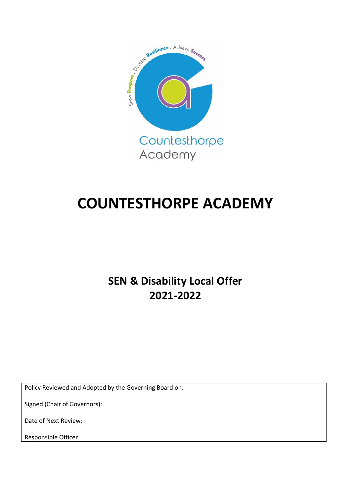

# **COUNTESTHORPE ACADEMY**

**SEN & Disability Local Offer 2021-2022**

Policy Reviewed and Adopted by the Governing Board on:

Signed (Chair of Governors):

Date of Next Review:

Responsible Officer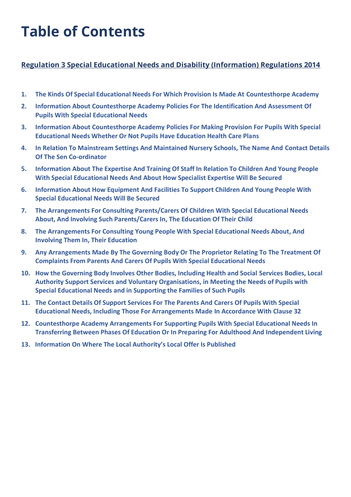# **Table of Contents**

#### **Regulation 3 Special Educational Needs and Disability (Information) Regulations 2014**

- **1. The Kinds Of Special Educational Needs For Which Provision Is Made At Countesthorpe Academy**
- **2. Information About Countesthorpe Academy Policies For The Identification And Assessment Of Pupils With Special Educational Needs**
- **3. Information About Countesthorpe Academy Policies For Making Provision For Pupils With Special Educational Needs Whether Or Not Pupils Have Education Health Care Plans**
- **4. In Relation To Mainstream Settings And Maintained Nursery Schools, The Name And Contact Details Of The Sen Co-ordinator**
- **5. Information About The Expertise And Training Of Staff In Relation To Children And Young People With Special Educational Needs And About How Specialist Expertise Will Be Secured**
- **6. Information About How Equipment And Facilities To Support Children And Young People With Special Educational Needs Will Be Secured**
- **7. The Arrangements For Consulting Parents/Carers Of Children With Special Educational Needs About, And Involving Such Parents/Carers In, The Education Of Their Child**
- **8. The Arrangements For Consulting Young People With Special Educational Needs About, And Involving Them In, Their Education**
- **9. Any Arrangements Made By The Governing Body Or The Proprietor Relating To The Treatment Of Complaints From Parents And Carers Of Pupils With Special Educational Needs**
- **10. How the Governing Body Involves Other Bodies, Including Health and Social Services Bodies, Local Authority Support Services and Voluntary Organisations, in Meeting the Needs of Pupils with Special Educational Needs and in Supporting the Families of Such Pupils**
- **11. The Contact Details Of Support Services For The Parents And Carers Of Pupils With Special Educational Needs, Including Those For Arrangements Made In Accordance With Clause 32**
- **12. Countesthorpe Academy Arrangements For Supporting Pupils With Special Educational Needs In Transferring Between Phases Of Education Or In Preparing For Adulthood And Independent Living**
- **13. Information On Where The Local Authority's Local Offer Is Published**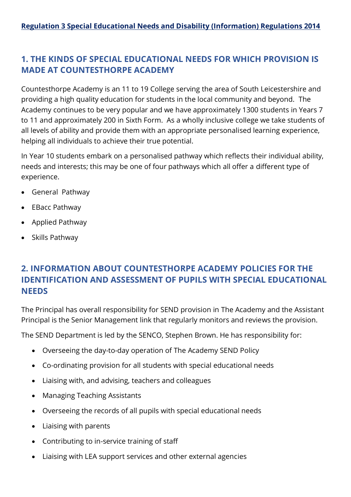## **1. THE KINDS OF SPECIAL EDUCATIONAL NEEDS FOR WHICH PROVISION IS MADE AT COUNTESTHORPE ACADEMY**

Countesthorpe Academy is an 11 to 19 College serving the area of South Leicestershire and providing a high quality education for students in the local community and beyond. The Academy continues to be very popular and we have approximately 1300 students in Years 7 to 11 and approximately 200 in Sixth Form. As a wholly inclusive college we take students of all levels of ability and provide them with an appropriate personalised learning experience, helping all individuals to achieve their true potential.

In Year 10 students embark on a personalised pathway which reflects their individual ability, needs and interests; this may be one of four pathways which all offer a different type of experience.

- General Pathway
- EBacc Pathway
- Applied Pathway
- Skills Pathway

## **2. INFORMATION ABOUT COUNTESTHORPE ACADEMY POLICIES FOR THE IDENTIFICATION AND ASSESSMENT OF PUPILS WITH SPECIAL EDUCATIONAL NEEDS**

The Principal has overall responsibility for SEND provision in The Academy and the Assistant Principal is the Senior Management link that regularly monitors and reviews the provision.

The SEND Department is led by the SENCO, Stephen Brown. He has responsibility for:

- Overseeing the day-to-day operation of The Academy SEND Policy
- Co-ordinating provision for all students with special educational needs
- Liaising with, and advising, teachers and colleagues
- Managing Teaching Assistants
- Overseeing the records of all pupils with special educational needs
- Liaising with parents
- Contributing to in-service training of staff
- Liaising with LEA support services and other external agencies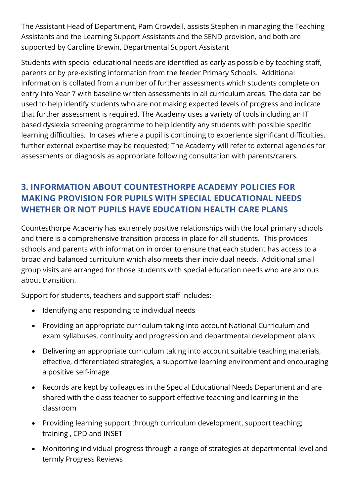The Assistant Head of Department, Pam Crowdell, assists Stephen in managing the Teaching Assistants and the Learning Support Assistants and the SEND provision, and both are supported by Caroline Brewin, Departmental Support Assistant

Students with special educational needs are identified as early as possible by teaching staff, parents or by pre-existing information from the feeder Primary Schools. Additional information is collated from a number of further assessments which students complete on entry into Year 7 with baseline written assessments in all curriculum areas. The data can be used to help identify students who are not making expected levels of progress and indicate that further assessment is required. The Academy uses a variety of tools including an IT based dyslexia screening programme to help identify any students with possible specific learning difficulties. In cases where a pupil is continuing to experience significant difficulties, further external expertise may be requested; The Academy will refer to external agencies for assessments or diagnosis as appropriate following consultation with parents/carers.

# **3. INFORMATION ABOUT COUNTESTHORPE ACADEMY POLICIES FOR MAKING PROVISION FOR PUPILS WITH SPECIAL EDUCATIONAL NEEDS WHETHER OR NOT PUPILS HAVE EDUCATION HEALTH CARE PLANS**

Countesthorpe Academy has extremely positive relationships with the local primary schools and there is a comprehensive transition process in place for all students. This provides schools and parents with information in order to ensure that each student has access to a broad and balanced curriculum which also meets their individual needs. Additional small group visits are arranged for those students with special education needs who are anxious about transition.

Support for students, teachers and support staff includes:-

- Identifying and responding to individual needs
- Providing an appropriate curriculum taking into account National Curriculum and exam syllabuses, continuity and progression and departmental development plans
- Delivering an appropriate curriculum taking into account suitable teaching materials, effective, differentiated strategies, a supportive learning environment and encouraging a positive self-image
- Records are kept by colleagues in the Special Educational Needs Department and are shared with the class teacher to support effective teaching and learning in the classroom
- Providing learning support through curriculum development, support teaching; training , CPD and INSET
- Monitoring individual progress through a range of strategies at departmental level and termly Progress Reviews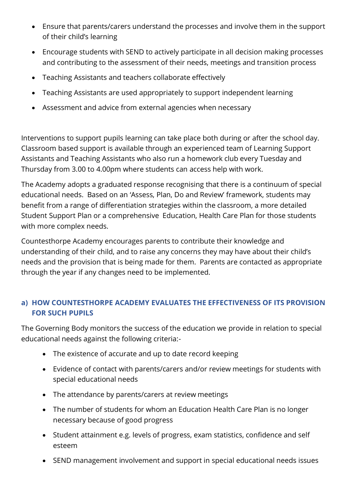- Ensure that parents/carers understand the processes and involve them in the support of their child's learning
- Encourage students with SEND to actively participate in all decision making processes and contributing to the assessment of their needs, meetings and transition process
- Teaching Assistants and teachers collaborate effectively
- Teaching Assistants are used appropriately to support independent learning
- Assessment and advice from external agencies when necessary

Interventions to support pupils learning can take place both during or after the school day. Classroom based support is available through an experienced team of Learning Support Assistants and Teaching Assistants who also run a homework club every Tuesday and Thursday from 3.00 to 4.00pm where students can access help with work.

The Academy adopts a graduated response recognising that there is a continuum of special educational needs. Based on an 'Assess, Plan, Do and Review' framework, students may benefit from a range of differentiation strategies within the classroom, a more detailed Student Support Plan or a comprehensive Education, Health Care Plan for those students with more complex needs.

Countesthorpe Academy encourages parents to contribute their knowledge and understanding of their child, and to raise any concerns they may have about their child's needs and the provision that is being made for them. Parents are contacted as appropriate through the year if any changes need to be implemented.

#### **a) HOW COUNTESTHORPE ACADEMY EVALUATES THE EFFECTIVENESS OF ITS PROVISION FOR SUCH PUPILS**

The Governing Body monitors the success of the education we provide in relation to special educational needs against the following criteria:-

- The existence of accurate and up to date record keeping
- Evidence of contact with parents/carers and/or review meetings for students with special educational needs
- The attendance by parents/carers at review meetings
- The number of students for whom an Education Health Care Plan is no longer necessary because of good progress
- Student attainment e.g. levels of progress, exam statistics, confidence and self esteem
- SEND management involvement and support in special educational needs issues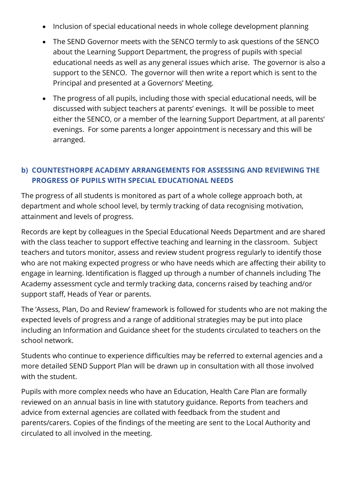- Inclusion of special educational needs in whole college development planning
- The SEND Governor meets with the SENCO termly to ask questions of the SENCO about the Learning Support Department, the progress of pupils with special educational needs as well as any general issues which arise. The governor is also a support to the SENCO. The governor will then write a report which is sent to the Principal and presented at a Governors' Meeting.
- The progress of all pupils, including those with special educational needs, will be discussed with subject teachers at parents' evenings. It will be possible to meet either the SENCO, or a member of the learning Support Department, at all parents' evenings. For some parents a longer appointment is necessary and this will be arranged.

#### **b) COUNTESTHORPE ACADEMY ARRANGEMENTS FOR ASSESSING AND REVIEWING THE PROGRESS OF PUPILS WITH SPECIAL EDUCATIONAL NEEDS**

The progress of all students is monitored as part of a whole college approach both, at department and whole school level, by termly tracking of data recognising motivation, attainment and levels of progress.

Records are kept by colleagues in the Special Educational Needs Department and are shared with the class teacher to support effective teaching and learning in the classroom. Subject teachers and tutors monitor, assess and review student progress regularly to identify those who are not making expected progress or who have needs which are affecting their ability to engage in learning. Identification is flagged up through a number of channels including The Academy assessment cycle and termly tracking data, concerns raised by teaching and/or support staff, Heads of Year or parents.

The 'Assess, Plan, Do and Review' framework is followed for students who are not making the expected levels of progress and a range of additional strategies may be put into place including an Information and Guidance sheet for the students circulated to teachers on the school network.

Students who continue to experience difficulties may be referred to external agencies and a more detailed SEND Support Plan will be drawn up in consultation with all those involved with the student.

Pupils with more complex needs who have an Education, Health Care Plan are formally reviewed on an annual basis in line with statutory guidance. Reports from teachers and advice from external agencies are collated with feedback from the student and parents/carers. Copies of the findings of the meeting are sent to the Local Authority and circulated to all involved in the meeting.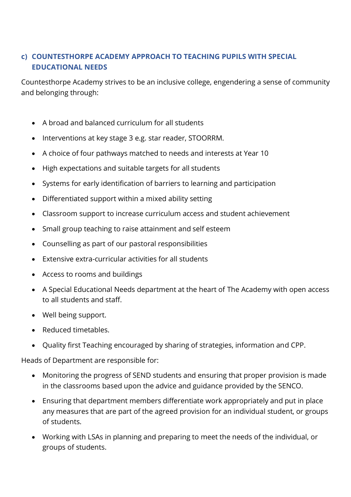#### **c) COUNTESTHORPE ACADEMY APPROACH TO TEACHING PUPILS WITH SPECIAL EDUCATIONAL NEEDS**

Countesthorpe Academy strives to be an inclusive college, engendering a sense of community and belonging through:

- A broad and balanced curriculum for all students
- Interventions at key stage 3 e.g. star reader, STOORRM.
- A choice of four pathways matched to needs and interests at Year 10
- High expectations and suitable targets for all students
- Systems for early identification of barriers to learning and participation
- Differentiated support within a mixed ability setting
- Classroom support to increase curriculum access and student achievement
- Small group teaching to raise attainment and self esteem
- Counselling as part of our pastoral responsibilities
- Extensive extra-curricular activities for all students
- Access to rooms and buildings
- A Special Educational Needs department at the heart of The Academy with open access to all students and staff.
- Well being support.
- Reduced timetables.
- Quality first Teaching encouraged by sharing of strategies, information and CPP.

Heads of Department are responsible for:

- Monitoring the progress of SEND students and ensuring that proper provision is made in the classrooms based upon the advice and guidance provided by the SENCO.
- Ensuring that department members differentiate work appropriately and put in place any measures that are part of the agreed provision for an individual student, or groups of students.
- Working with LSAs in planning and preparing to meet the needs of the individual, or groups of students.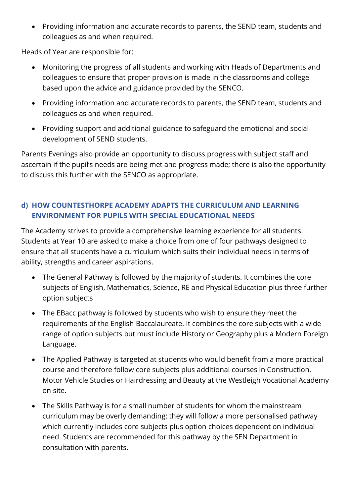• Providing information and accurate records to parents, the SEND team, students and colleagues as and when required.

Heads of Year are responsible for:

- Monitoring the progress of all students and working with Heads of Departments and colleagues to ensure that proper provision is made in the classrooms and college based upon the advice and guidance provided by the SENCO.
- Providing information and accurate records to parents, the SEND team, students and colleagues as and when required.
- Providing support and additional guidance to safeguard the emotional and social development of SEND students.

Parents Evenings also provide an opportunity to discuss progress with subject staff and ascertain if the pupil's needs are being met and progress made; there is also the opportunity to discuss this further with the SENCO as appropriate.

#### **d) HOW COUNTESTHORPE ACADEMY ADAPTS THE CURRICULUM AND LEARNING ENVIRONMENT FOR PUPILS WITH SPECIAL EDUCATIONAL NEEDS**

The Academy strives to provide a comprehensive learning experience for all students. Students at Year 10 are asked to make a choice from one of four pathways designed to ensure that all students have a curriculum which suits their individual needs in terms of ability, strengths and career aspirations.

- The General Pathway is followed by the majority of students. It combines the core subjects of English, Mathematics, Science, RE and Physical Education plus three further option subjects
- The EBacc pathway is followed by students who wish to ensure they meet the requirements of the English Baccalaureate. It combines the core subjects with a wide range of option subjects but must include History or Geography plus a Modern Foreign Language.
- The Applied Pathway is targeted at students who would benefit from a more practical course and therefore follow core subjects plus additional courses in Construction, Motor Vehicle Studies or Hairdressing and Beauty at the Westleigh Vocational Academy on site.
- The Skills Pathway is for a small number of students for whom the mainstream curriculum may be overly demanding; they will follow a more personalised pathway which currently includes core subjects plus option choices dependent on individual need. Students are recommended for this pathway by the SEN Department in consultation with parents.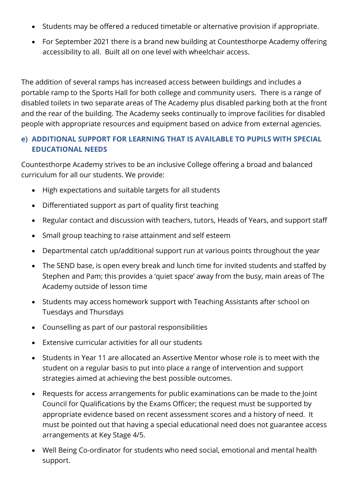- Students may be offered a reduced timetable or alternative provision if appropriate.
- For September 2021 there is a brand new building at Countesthorpe Academy offering accessibility to all. Built all on one level with wheelchair access.

The addition of several ramps has increased access between buildings and includes a portable ramp to the Sports Hall for both college and community users. There is a range of disabled toilets in two separate areas of The Academy plus disabled parking both at the front and the rear of the building. The Academy seeks continually to improve facilities for disabled people with appropriate resources and equipment based on advice from external agencies.

#### **e) ADDITIONAL SUPPORT FOR LEARNING THAT IS AVAILABLE TO PUPILS WITH SPECIAL EDUCATIONAL NEEDS**

Countesthorpe Academy strives to be an inclusive College offering a broad and balanced curriculum for all our students. We provide:

- High expectations and suitable targets for all students
- Differentiated support as part of quality first teaching
- Regular contact and discussion with teachers, tutors, Heads of Years, and support staff
- Small group teaching to raise attainment and self esteem
- Departmental catch up/additional support run at various points throughout the year
- The SEND base, is open every break and lunch time for invited students and staffed by Stephen and Pam; this provides a 'quiet space' away from the busy, main areas of The Academy outside of lesson time
- Students may access homework support with Teaching Assistants after school on Tuesdays and Thursdays
- Counselling as part of our pastoral responsibilities
- Extensive curricular activities for all our students
- Students in Year 11 are allocated an Assertive Mentor whose role is to meet with the student on a regular basis to put into place a range of intervention and support strategies aimed at achieving the best possible outcomes.
- Requests for access arrangements for public examinations can be made to the Joint Council for Qualifications by the Exams Officer; the request must be supported by appropriate evidence based on recent assessment scores and a history of need. It must be pointed out that having a special educational need does not guarantee access arrangements at Key Stage 4/5.
- Well Being Co-ordinator for students who need social, emotional and mental health support.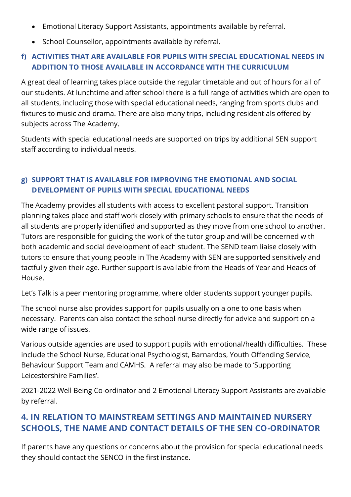- Emotional Literacy Support Assistants, appointments available by referral.
- School Counsellor, appointments available by referral.

#### **f) ACTIVITIES THAT ARE AVAILABLE FOR PUPILS WITH SPECIAL EDUCATIONAL NEEDS IN ADDITION TO THOSE AVAILABLE IN ACCORDANCE WITH THE CURRICULUM**

A great deal of learning takes place outside the regular timetable and out of hours for all of our students. At lunchtime and after school there is a full range of activities which are open to all students, including those with special educational needs, ranging from sports clubs and fixtures to music and drama. There are also many trips, including residentials offered by subjects across The Academy.

Students with special educational needs are supported on trips by additional SEN support staff according to individual needs.

#### **g) SUPPORT THAT IS AVAILABLE FOR IMPROVING THE EMOTIONAL AND SOCIAL DEVELOPMENT OF PUPILS WITH SPECIAL EDUCATIONAL NEEDS**

The Academy provides all students with access to excellent pastoral support. Transition planning takes place and staff work closely with primary schools to ensure that the needs of all students are properly identified and supported as they move from one school to another. Tutors are responsible for guiding the work of the tutor group and will be concerned with both academic and social development of each student. The SEND team liaise closely with tutors to ensure that young people in The Academy with SEN are supported sensitively and tactfully given their age. Further support is available from the Heads of Year and Heads of House.

Let's Talk is a peer mentoring programme, where older students support younger pupils.

The school nurse also provides support for pupils usually on a one to one basis when necessary. Parents can also contact the school nurse directly for advice and support on a wide range of issues.

Various outside agencies are used to support pupils with emotional/health difficulties. These include the School Nurse, Educational Psychologist, Barnardos, Youth Offending Service, Behaviour Support Team and CAMHS. A referral may also be made to 'Supporting Leicestershire Families'.

2021-2022 Well Being Co-ordinator and 2 Emotional Literacy Support Assistants are available by referral.

## **4. IN RELATION TO MAINSTREAM SETTINGS AND MAINTAINED NURSERY SCHOOLS, THE NAME AND CONTACT DETAILS OF THE SEN CO-ORDINATOR**

If parents have any questions or concerns about the provision for special educational needs they should contact the SENCO in the first instance.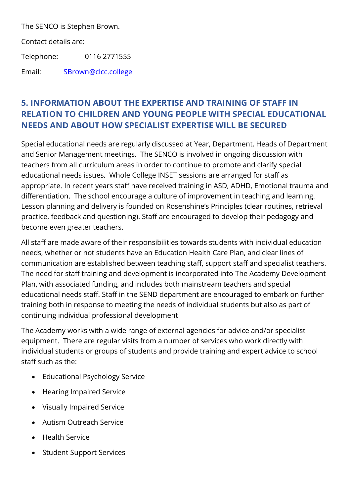The SENCO is Stephen Brown.

Contact details are:

Telephone: 0116 2771555

Email: [SBrown@clcc.college](mailto:SBrown@clcc.college)

## **5. INFORMATION ABOUT THE EXPERTISE AND TRAINING OF STAFF IN RELATION TO CHILDREN AND YOUNG PEOPLE WITH SPECIAL EDUCATIONAL NEEDS AND ABOUT HOW SPECIALIST EXPERTISE WILL BE SECURED**

Special educational needs are regularly discussed at Year, Department, Heads of Department and Senior Management meetings. The SENCO is involved in ongoing discussion with teachers from all curriculum areas in order to continue to promote and clarify special educational needs issues. Whole College INSET sessions are arranged for staff as appropriate. In recent years staff have received training in ASD, ADHD, Emotional trauma and differentiation. The school encourage a culture of improvement in teaching and learning. Lesson planning and delivery is founded on Rosenshine's Principles (clear routines, retrieval practice, feedback and questioning). Staff are encouraged to develop their pedagogy and become even greater teachers.

All staff are made aware of their responsibilities towards students with individual education needs, whether or not students have an Education Health Care Plan, and clear lines of communication are established between teaching staff, support staff and specialist teachers. The need for staff training and development is incorporated into The Academy Development Plan, with associated funding, and includes both mainstream teachers and special educational needs staff. Staff in the SEND department are encouraged to embark on further training both in response to meeting the needs of individual students but also as part of continuing individual professional development

The Academy works with a wide range of external agencies for advice and/or specialist equipment. There are regular visits from a number of services who work directly with individual students or groups of students and provide training and expert advice to school staff such as the:

- Educational Psychology Service
- Hearing Impaired Service
- Visually Impaired Service
- Autism Outreach Service
- Health Service
- Student Support Services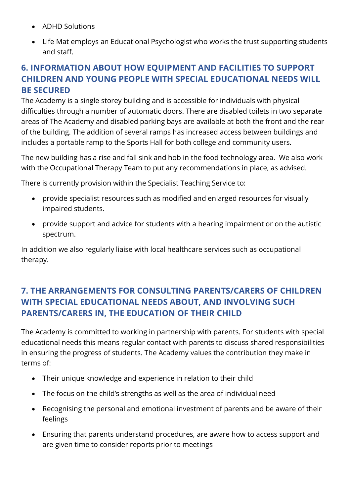- ADHD Solutions
- Life Mat employs an Educational Psychologist who works the trust supporting students and staff.

## **6. INFORMATION ABOUT HOW EQUIPMENT AND FACILITIES TO SUPPORT CHILDREN AND YOUNG PEOPLE WITH SPECIAL EDUCATIONAL NEEDS WILL BE SECURED**

The Academy is a single storey building and is accessible for individuals with physical difficulties through a number of automatic doors. There are disabled toilets in two separate areas of The Academy and disabled parking bays are available at both the front and the rear of the building. The addition of several ramps has increased access between buildings and includes a portable ramp to the Sports Hall for both college and community users.

The new building has a rise and fall sink and hob in the food technology area. We also work with the Occupational Therapy Team to put any recommendations in place, as advised.

There is currently provision within the Specialist Teaching Service to:

- provide specialist resources such as modified and enlarged resources for visually impaired students.
- provide support and advice for students with a hearing impairment or on the autistic spectrum.

In addition we also regularly liaise with local healthcare services such as occupational therapy.

# **7. THE ARRANGEMENTS FOR CONSULTING PARENTS/CARERS OF CHILDREN WITH SPECIAL EDUCATIONAL NEEDS ABOUT, AND INVOLVING SUCH PARENTS/CARERS IN, THE EDUCATION OF THEIR CHILD**

The Academy is committed to working in partnership with parents. For students with special educational needs this means regular contact with parents to discuss shared responsibilities in ensuring the progress of students. The Academy values the contribution they make in terms of:

- Their unique knowledge and experience in relation to their child
- The focus on the child's strengths as well as the area of individual need
- Recognising the personal and emotional investment of parents and be aware of their feelings
- Ensuring that parents understand procedures, are aware how to access support and are given time to consider reports prior to meetings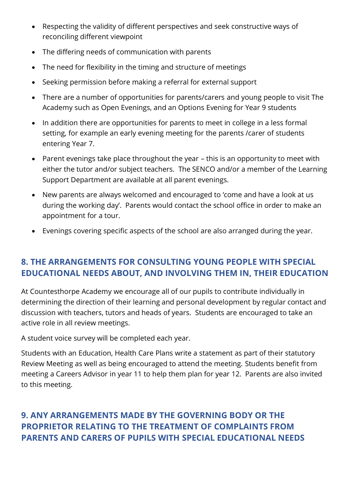- Respecting the validity of different perspectives and seek constructive ways of reconciling different viewpoint
- The differing needs of communication with parents
- The need for flexibility in the timing and structure of meetings
- Seeking permission before making a referral for external support
- There are a number of opportunities for parents/carers and young people to visit The Academy such as Open Evenings, and an Options Evening for Year 9 students
- In addition there are opportunities for parents to meet in college in a less formal setting, for example an early evening meeting for the parents /carer of students entering Year 7.
- Parent evenings take place throughout the year this is an opportunity to meet with either the tutor and/or subject teachers. The SENCO and/or a member of the Learning Support Department are available at all parent evenings.
- New parents are always welcomed and encouraged to 'come and have a look at us during the working day'. Parents would contact the school office in order to make an appointment for a tour.
- Evenings covering specific aspects of the school are also arranged during the year.

# **8. THE ARRANGEMENTS FOR CONSULTING YOUNG PEOPLE WITH SPECIAL EDUCATIONAL NEEDS ABOUT, AND INVOLVING THEM IN, THEIR EDUCATION**

At Countesthorpe Academy we encourage all of our pupils to contribute individually in determining the direction of their learning and personal development by regular contact and discussion with teachers, tutors and heads of years. Students are encouraged to take an active role in all review meetings.

A student voice survey will be completed each year.

Students with an Education, Health Care Plans write a statement as part of their statutory Review Meeting as well as being encouraged to attend the meeting. Students benefit from meeting a Careers Advisor in year 11 to help them plan for year 12. Parents are also invited to this meeting.

# **9. ANY ARRANGEMENTS MADE BY THE GOVERNING BODY OR THE PROPRIETOR RELATING TO THE TREATMENT OF COMPLAINTS FROM PARENTS AND CARERS OF PUPILS WITH SPECIAL EDUCATIONAL NEEDS**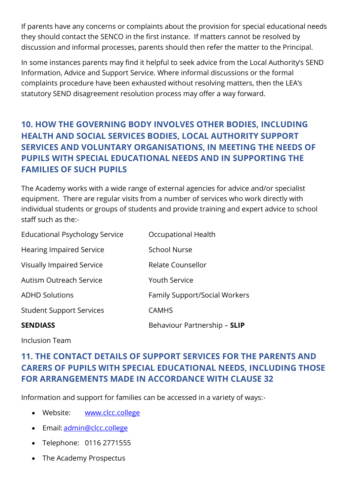If parents have any concerns or complaints about the provision for special educational needs they should contact the SENCO in the first instance. If matters cannot be resolved by discussion and informal processes, parents should then refer the matter to the Principal.

In some instances parents may find it helpful to seek advice from the Local Authority's SEND Information, Advice and Support Service. Where informal discussions or the formal complaints procedure have been exhausted without resolving matters, then the LEA's statutory SEND disagreement resolution process may offer a way forward.

# **10. HOW THE GOVERNING BODY INVOLVES OTHER BODIES, INCLUDING HEALTH AND SOCIAL SERVICES BODIES, LOCAL AUTHORITY SUPPORT SERVICES AND VOLUNTARY ORGANISATIONS, IN MEETING THE NEEDS OF PUPILS WITH SPECIAL EDUCATIONAL NEEDS AND IN SUPPORTING THE FAMILIES OF SUCH PUPILS**

The Academy works with a wide range of external agencies for advice and/or specialist equipment. There are regular visits from a number of services who work directly with individual students or groups of students and provide training and expert advice to school staff such as the:-

| <b>SENDIASS</b>                       | Behaviour Partnership - SLIP         |
|---------------------------------------|--------------------------------------|
| <b>Student Support Services</b>       | <b>CAMHS</b>                         |
| <b>ADHD Solutions</b>                 | <b>Family Support/Social Workers</b> |
| <b>Autism Outreach Service</b>        | <b>Youth Service</b>                 |
| <b>Visually Impaired Service</b>      | <b>Relate Counsellor</b>             |
| <b>Hearing Impaired Service</b>       | <b>School Nurse</b>                  |
| <b>Educational Psychology Service</b> | Occupational Health                  |

Inclusion Team

## **11. THE CONTACT DETAILS OF SUPPORT SERVICES FOR THE PARENTS AND CARERS OF PUPILS WITH SPECIAL EDUCATIONAL NEEDS, INCLUDING THOSE FOR ARRANGEMENTS MADE IN ACCORDANCE WITH CLAUSE 32**

Information and support for families can be accessed in a variety of ways:-

- Website: **[www.clcc.college](http://www.clcc.college/)**
- Email: [admin@clcc.college](mailto:admin@clcc.college)
- Telephone: 0116 2771555
- The Academy Prospectus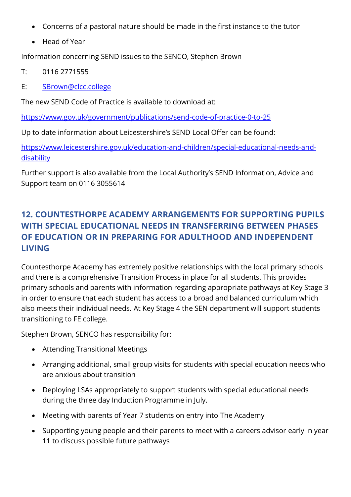- Concerns of a pastoral nature should be made in the first instance to the tutor
- Head of Year

Information concerning SEND issues to the SENCO, Stephen Brown

- T: 0116 2771555
- E: [SBrown@clcc.college](mailto:SBrown@clcc.college)

The new SEND Code of Practice is available to download at:

<https://www.gov.uk/government/publications/send-code-of-practice-0-to-25>

Up to date information about Leicestershire's SEND Local Offer can be found:

[https://www.leicestershire.gov.uk/education-and-children/special-educational-needs-and](https://www.leicestershire.gov.uk/education-and-children/special-educational-needs-and-disability)**[disability](https://www.leicestershire.gov.uk/education-and-children/special-educational-needs-and-disability)** 

Further support is also available from the Local Authority's SEND Information, Advice and Support team on 0116 3055614

# **12. COUNTESTHORPE ACADEMY ARRANGEMENTS FOR SUPPORTING PUPILS WITH SPECIAL EDUCATIONAL NEEDS IN TRANSFERRING BETWEEN PHASES OF EDUCATION OR IN PREPARING FOR ADULTHOOD AND INDEPENDENT LIVING**

Countesthorpe Academy has extremely positive relationships with the local primary schools and there is a comprehensive Transition Process in place for all students. This provides primary schools and parents with information regarding appropriate pathways at Key Stage 3 in order to ensure that each student has access to a broad and balanced curriculum which also meets their individual needs. At Key Stage 4 the SEN department will support students transitioning to FE college.

Stephen Brown, SENCO has responsibility for:

- Attending Transitional Meetings
- Arranging additional, small group visits for students with special education needs who are anxious about transition
- Deploying LSAs appropriately to support students with special educational needs during the three day Induction Programme in July.
- Meeting with parents of Year 7 students on entry into The Academy
- Supporting young people and their parents to meet with a careers advisor early in year 11 to discuss possible future pathways